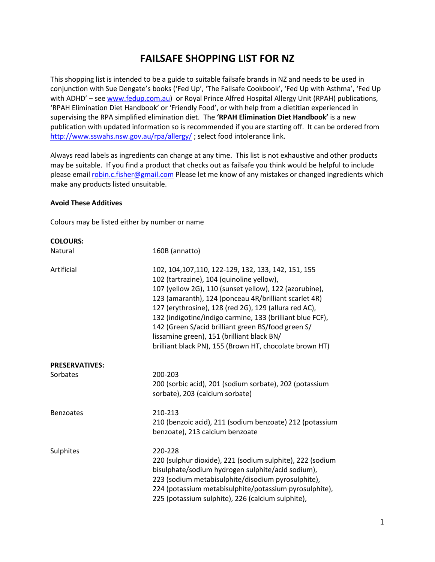# **FAILSAFE SHOPPING LIST FOR NZ**

This shopping list is intended to be a guide to suitable failsafe brands in NZ and needs to be used in conjunction with Sue Dengate's books ('Fed Up', 'The Failsafe Cookbook', 'Fed Up with Asthma', 'Fed Up with ADHD' – see [www.fedup.com.au\)](http://www.fedup.com.au/) or Royal Prince Alfred Hospital Allergy Unit (RPAH) publications, 'RPAH Elimination Diet Handbook' or 'Friendly Food', or with help from a dietitian experienced in supervising the RPA simplified elimination diet. The **'RPAH Elimination Diet Handbook'** is a new publication with updated information so is recommended if you are starting off. It can be ordered from <http://www.sswahs.nsw.gov.au/rpa/allergy/>; select food intolerance link.

Always read labels as ingredients can change at any time. This list is not exhaustive and other products may be suitable. If you find a product that checks out as failsafe you think would be helpful to include please email [robin.c.fisher@gmail.com](mailto:robin.c.fisher@gmail.com) Please let me know of any mistakes or changed ingredients which make any products listed unsuitable.

#### **Avoid These Additives**

Colours may be listed either by number or name

| <b>COLOURS:</b>                   |                                                                                                                                                                                                                                                                                                                                                                                                                                                                                                           |
|-----------------------------------|-----------------------------------------------------------------------------------------------------------------------------------------------------------------------------------------------------------------------------------------------------------------------------------------------------------------------------------------------------------------------------------------------------------------------------------------------------------------------------------------------------------|
| Natural                           | 160B (annatto)                                                                                                                                                                                                                                                                                                                                                                                                                                                                                            |
| Artificial                        | 102, 104, 107, 110, 122-129, 132, 133, 142, 151, 155<br>102 (tartrazine), 104 (quinoline yellow),<br>107 (yellow 2G), 110 (sunset yellow), 122 (azorubine),<br>123 (amaranth), 124 (ponceau 4R/brilliant scarlet 4R)<br>127 (erythrosine), 128 (red 2G), 129 (allura red AC),<br>132 (indigotine/indigo carmine, 133 (brilliant blue FCF),<br>142 (Green S/acid brilliant green BS/food green S/<br>lissamine green), 151 (brilliant black BN/<br>brilliant black PN), 155 (Brown HT, chocolate brown HT) |
| <b>PRESERVATIVES:</b><br>Sorbates | 200-203<br>200 (sorbic acid), 201 (sodium sorbate), 202 (potassium<br>sorbate), 203 (calcium sorbate)                                                                                                                                                                                                                                                                                                                                                                                                     |
| <b>Benzoates</b>                  | 210-213<br>210 (benzoic acid), 211 (sodium benzoate) 212 (potassium<br>benzoate), 213 calcium benzoate                                                                                                                                                                                                                                                                                                                                                                                                    |
| Sulphites                         | 220-228<br>220 (sulphur dioxide), 221 (sodium sulphite), 222 (sodium<br>bisulphate/sodium hydrogen sulphite/acid sodium),<br>223 (sodium metabisulphite/disodium pyrosulphite),<br>224 (potassium metabisulphite/potassium pyrosulphite),<br>225 (potassium sulphite), 226 (calcium sulphite),                                                                                                                                                                                                            |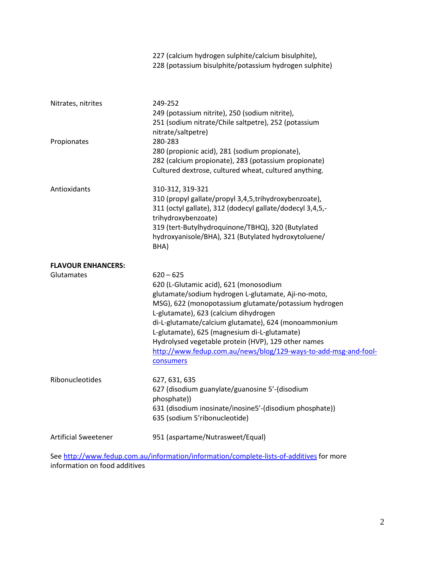|                             | 227 (calcium hydrogen sulphite/calcium bisulphite),<br>228 (potassium bisulphite/potassium hydrogen sulphite)                                                                                                                                                                                                                                                                                                                                                 |
|-----------------------------|---------------------------------------------------------------------------------------------------------------------------------------------------------------------------------------------------------------------------------------------------------------------------------------------------------------------------------------------------------------------------------------------------------------------------------------------------------------|
| Nitrates, nitrites          | 249-252<br>249 (potassium nitrite), 250 (sodium nitrite),<br>251 (sodium nitrate/Chile saltpetre), 252 (potassium<br>nitrate/saltpetre)                                                                                                                                                                                                                                                                                                                       |
| Propionates                 | 280-283<br>280 (propionic acid), 281 (sodium propionate),<br>282 (calcium propionate), 283 (potassium propionate)<br>Cultured dextrose, cultured wheat, cultured anything.                                                                                                                                                                                                                                                                                    |
| Antioxidants                | 310-312, 319-321<br>310 (propyl gallate/propyl 3,4,5,trihydroxybenzoate),<br>311 (octyl gallate), 312 (dodecyl gallate/dodecyl 3,4,5,-<br>trihydroxybenzoate)<br>319 (tert-Butylhydroquinone/TBHQ), 320 (Butylated<br>hydroxyanisole/BHA), 321 (Butylated hydroxytoluene/<br>BHA)                                                                                                                                                                             |
| <b>FLAVOUR ENHANCERS:</b>   |                                                                                                                                                                                                                                                                                                                                                                                                                                                               |
| Glutamates                  | $620 - 625$<br>620 (L-Glutamic acid), 621 (monosodium<br>glutamate/sodium hydrogen L-glutamate, Aji-no-moto,<br>MSG), 622 (monopotassium glutamate/potassium hydrogen<br>L-glutamate), 623 (calcium dihydrogen<br>di-L-glutamate/calcium glutamate), 624 (monoammonium<br>L-glutamate), 625 (magnesium di-L-glutamate)<br>Hydrolysed vegetable protein (HVP), 129 other names<br>http://www.fedup.com.au/news/blog/129-ways-to-add-msg-and-fool-<br>consumers |
| Ribonucleotides             | 627, 631, 635<br>627 (disodium guanylate/guanosine 5'-(disodium<br>phosphate))<br>631 (disodium inosinate/inosine5'-(disodium phosphate))<br>635 (sodium 5'ribonucleotide)                                                                                                                                                                                                                                                                                    |
| <b>Artificial Sweetener</b> | 951 (aspartame/Nutrasweet/Equal)                                                                                                                                                                                                                                                                                                                                                                                                                              |

Se[e http://www.fedup.com.au/information/information/complete-lists-of-additives](http://www.fedup.com.au/information/information/complete-lists-of-additives) for more information on food additives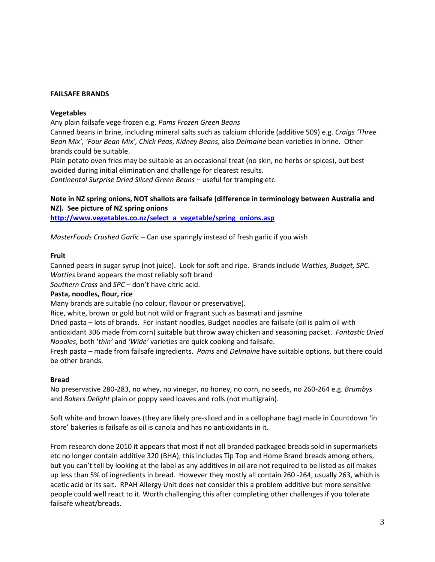#### **FAILSAFE BRANDS**

#### **Vegetables**

Any plain failsafe vege frozen e.g. *Pams Frozen Green Beans*

Canned beans in brine, including mineral salts such as calcium chloride (additive 509) e.g. *Craigs 'Three Bean Mix', 'Four Bean Mix', Chick Peas*, *Kidney Beans,* also *Delmaine* bean varieties in brine*.* Other brands could be suitable.

Plain potato oven fries may be suitable as an occasional treat (no skin, no herbs or spices), but best avoided during initial elimination and challenge for clearest results. *Continental Surprise Dried Sliced Green Beans* – useful for tramping etc

**Note in NZ spring onions, NOT shallots are failsafe (difference in terminology between Australia and NZ). See picture of NZ spring onions** 

**[http://www.vegetables.co.nz/select\\_a\\_vegetable/spring\\_onions.asp](http://www.vegetables.co.nz/select_a_vegetable/spring_onions.asp)**

*MasterFoods Crushed Garlic* – Can use sparingly instead of fresh garlic if you wish

#### **Fruit**

Canned pears in sugar syrup (not juice). Look for soft and ripe. Brands include *Watties, Budget, SPC. Watties* brand appears the most reliably soft brand *Southern Cross* and *SPC* – don't have citric acid.

## **Pasta, noodles, flour, rice**

Many brands are suitable (no colour, flavour or preservative).

Rice, white, brown or gold but not wild or fragrant such as basmati and jasmine

Dried pasta – lots of brands. For instant noodles, Budget noodles are failsafe (oil is palm oil with antioxidant 306 made from corn) suitable but throw away chicken and seasoning packet. *Fantastic Dried* 

*Noodles*, both '*thin'* and *'Wide'* varieties are quick cooking and failsafe.

Fresh pasta – made from failsafe ingredients. *Pams* and *Delmaine* have suitable options, but there could be other brands.

#### **Bread**

No preservative 280-283, no whey, no vinegar, no honey, no corn, no seeds, no 260-264 e.g. *Brumbys* and *Bakers Delight* plain or poppy seed loaves and rolls (not multigrain).

Soft white and brown loaves (they are likely pre-sliced and in a cellophane bag) made in Countdown 'in store' bakeries is failsafe as oil is canola and has no antioxidants in it.

From research done 2010 it appears that most if not all branded packaged breads sold in supermarkets etc no longer contain additive 320 (BHA); this includes Tip Top and Home Brand breads among others, but you can't tell by looking at the label as any additives in oil are not required to be listed as oil makes up less than 5% of ingredients in bread. However they mostly all contain 260 -264, usually 263, which is acetic acid or its salt. RPAH Allergy Unit does not consider this a problem additive but more sensitive people could well react to it. Worth challenging this after completing other challenges if you tolerate failsafe wheat/breads.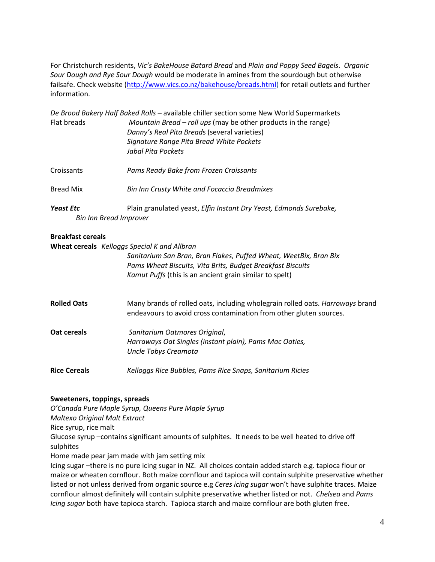For Christchurch residents, *Vic's BakeHouse Batard Bread* and *Plain and Poppy Seed Bagels*. *Organic Sour Dough and Rye Sour Dough* would be moderate in amines from the sourdough but otherwise failsafe. Check website [\(http://www.vics.co.nz/bakehouse/breads.html\)](http://www.vics.co.nz/bakehouse/breads.html) for retail outlets and further information.

|                               | De Brood Bakery Half Baked Rolls - available chiller section some New World Supermarkets |  |
|-------------------------------|------------------------------------------------------------------------------------------|--|
| Flat breads                   | Mountain Bread – roll ups (may be other products in the range)                           |  |
|                               | Danny's Real Pita Breads (several varieties)                                             |  |
|                               | Signature Range Pita Bread White Pockets                                                 |  |
|                               | Jabal Pita Pockets                                                                       |  |
| Croissants                    | Pams Ready Bake from Frozen Croissants                                                   |  |
| <b>Bread Mix</b>              | <b>Bin Inn Crusty White and Focaccia Breadmixes</b>                                      |  |
| <b>Yeast Etc</b>              | Plain granulated yeast, Elfin Instant Dry Yeast, Edmonds Surebake,                       |  |
| <b>Bin Inn Bread Improver</b> |                                                                                          |  |

#### **Breakfast cereals**

**Wheat cereals** *Kelloggs Special K and Allbran*

*Sanitarium San Bran, Bran Flakes, Puffed Wheat, WeetBix, Bran Bix Pams Wheat Biscuits, Vita Brits, Budget Breakfast Biscuits Kamut Puffs* (this is an ancient grain similar to spelt)

**Rolled Oats** Many brands of rolled oats, including wholegrain rolled oats. *Harroways* brand endeavours to avoid cross contamination from other gluten sources.

| Oat cereals | Sanitarium Oatmores Original,                           |
|-------------|---------------------------------------------------------|
|             | Harraways Oat Singles (instant plain), Pams Mac Oaties, |
|             | Uncle Tobys Creamota                                    |

**Rice Cereals** *Kelloggs Rice Bubbles, Pams Rice Snaps, Sanitarium Ricies*

## **Sweeteners, toppings, spreads**

*O'Canada Pure Maple Syrup, Queens Pure Maple Syrup Maltexo Original Malt Extract*

Rice syrup, rice malt

Glucose syrup –contains significant amounts of sulphites. It needs to be well heated to drive off sulphites

Home made pear jam made with jam setting mix

Icing sugar –there is no pure icing sugar in NZ. All choices contain added starch e.g. tapioca flour or maize or wheaten cornflour. Both maize cornflour and tapioca will contain sulphite preservative whether listed or not unless derived from organic source e.g *Ceres icing sugar* won't have sulphite traces. Maize cornflour almost definitely will contain sulphite preservative whether listed or not. *Chelsea* and *Pams Icing sugar* both have tapioca starch. Tapioca starch and maize cornflour are both gluten free.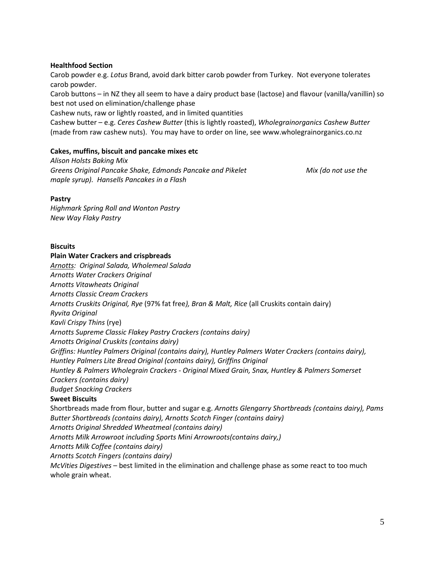#### **Healthfood Section**

Carob powder e.g. *Lotus* Brand, avoid dark bitter carob powder from Turkey. Not everyone tolerates carob powder.

Carob buttons – in NZ they all seem to have a dairy product base (lactose) and flavour (vanilla/vanillin) so best not used on elimination/challenge phase

Cashew nuts, raw or lightly roasted, and in limited quantities

Cashew butter – e.g. *Ceres Cashew Butter* (this is lightly roasted), *Wholegrainorganics Cashew Butter* (made from raw cashew nuts). You may have to order on line, see www.wholegrainorganics.co.nz

#### **Cakes, muffins, biscuit and pancake mixes etc**

*Alison Holsts Baking Mix Greens Original Pancake Shake, Edmonds Pancake and Pikelet Mix (do not use the maple syrup). Hansells Pancakes in a Flash*

#### **Pastry**

*Highmark Spring Roll and Wonton Pastry New Way Flaky Pastry*

#### **Biscuits**

## **Plain Water Crackers and crispbreads** *Arnotts: Original Salada, Wholemeal Salada Arnotts Water Crackers Original Arnotts Vitawheats Original Arnotts Classic Cream Crackers Arnotts Cruskits Original, Rye* (97% fat free*), Bran & Malt, Rice* (all Cruskits contain dairy) *Ryvita Original Kavli Crispy Thins* (rye) *Arnotts Supreme Classic Flakey Pastry Crackers (contains dairy) Arnotts Original Cruskits (contains dairy) Griffins: Huntley Palmers Original (contains dairy), Huntley Palmers Water Crackers (contains dairy), Huntley Palmers Lite Bread Original (contains dairy), Griffins Original Huntley & Palmers Wholegrain Crackers - Original Mixed Grain, Snax, Huntley & Palmers Somerset Crackers (contains dairy) Budget Snacking Crackers* **Sweet Biscuits** Shortbreads made from flour, butter and sugar e.g. *Arnotts Glengarry Shortbreads (contains dairy), Pams Butter Shortbreads (contains dairy), Arnotts Scotch Finger (contains dairy) Arnotts Original Shredded Wheatmeal (contains dairy) Arnotts Milk Arrowroot including Sports Mini Arrowroots(contains dairy,) Arnotts Milk Coffee (contains dairy) Arnotts Scotch Fingers (contains dairy)*

*McVities Digestives* – best limited in the elimination and challenge phase as some react to too much whole grain wheat.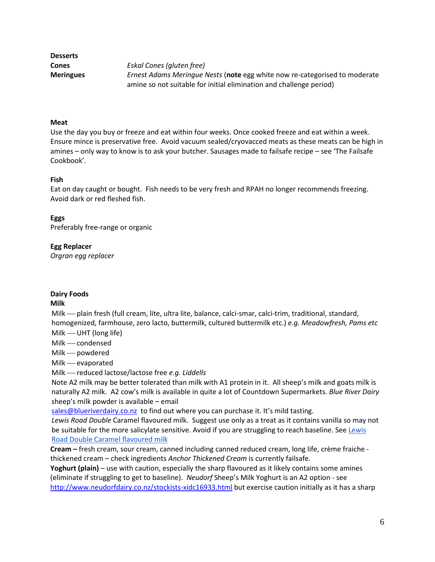| <b>Desserts</b>  |                                                                                   |
|------------------|-----------------------------------------------------------------------------------|
| Cones            | Eskal Cones (gluten free)                                                         |
| <b>Meringues</b> | <i>Ernest Adams Meringue Nests</i> (note egg white now re-categorised to moderate |
|                  | amine so not suitable for initial elimination and challenge period)               |

#### **Meat**

Use the day you buy or freeze and eat within four weeks. Once cooked freeze and eat within a week. Ensure mince is preservative free. Avoid vacuum sealed/cryovacced meats as these meats can be high in amines – only way to know is to ask your butcher. Sausages made to failsafe recipe – see 'The Failsafe Cookbook'.

#### **Fish**

Eat on day caught or bought. Fish needs to be very fresh and RPAH no longer recommends freezing. Avoid dark or red fleshed fish.

#### **Eggs**

Preferably free-range or organic

#### **Egg Replacer**

*Orgran egg replacer*

#### **Dairy Foods**

#### **Milk**

Milk — plain fresh (full cream, lite, ultra lite, balance, calci-smar, calci-trim, traditional, standard, homogenized, farmhouse, zero lacto, buttermilk, cultured buttermilk etc.) *e.g. Meadowfresh, Pams etc*  $Milk$  — UHT (long life)

Milk - condensed

Milk — powdered

Milk - evaporated

Milk reduced lactose/lactose free *e.g. Liddells*

Note A2 milk may be better tolerated than milk with A1 protein in it. All sheep's milk and goats milk is naturally A2 milk. A2 cow's milk is available in quite a lot of Countdown Supermarkets. *Blue River Dairy*  sheep's milk powder is available – email

[sales@blueriverdairy.co.nz](mailto:sales@blueriverdairy.co.nz) to find out where you can purchase it. It's mild tasting.

*Lewis Road Double* Caramel flavoured milk. Suggest use only as a treat as it contains vanilla so may not be suitable for the more salicylate sensitive. Avoid if you are struggling to reach baseline. See Lewis [Road Double Caramel flavoured milk](http://www.lewisroadcreamery.co.nz/products/fridge/flavoured-milks#double-caramel-milk)

**Cream –** fresh cream, sour cream, canned including canned reduced cream, long life, crème fraiche thickened cream – check ingredients *Anchor Thickened Cream* is currently failsafe.

**Yoghurt (plain)** – use with caution, especially the sharp flavoured as it likely contains some amines (eliminate if struggling to get to baseline). *Neudorf* Sheep's Milk Yoghurt is an A2 option - see <http://www.neudorfdairy.co.nz/stockists-xidc16933.html> but exercise caution initially as it has a sharp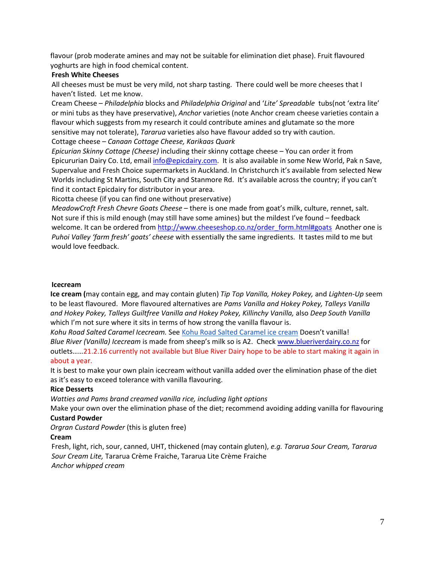flavour (prob moderate amines and may not be suitable for elimination diet phase). Fruit flavoured yoghurts are high in food chemical content.

## **Fresh White Cheeses**

All cheeses must be must be very mild, not sharp tasting. There could well be more cheeses that I haven't listed. Let me know.

Cream Cheese – *Philadelphia* blocks and *Philadelphia Original* and '*Lite' Spreadable* tubs(not 'extra lite' or mini tubs as they have preservative), *Anchor* varieties (note Anchor cream cheese varieties contain a flavour which suggests from my research it could contribute amines and glutamate so the more sensitive may not tolerate), *Tararua* varieties also have flavour added so try with caution. Cottage cheese – *Canaan Cottage Cheese, Karikaas Quark*

*Epicurian Skinny Cottage (Cheese)* including their skinny cottage cheese – You can order it from Epicururian Dairy Co. Ltd, emai[l info@epicdairy.com.](mailto:info@epicdairy.com) It is also available in some New World, Pak n Save, Supervalue and Fresh Choice supermarkets in Auckland. In Christchurch it's available from selected New Worlds including St Martins, South City and Stanmore Rd. It's available across the country; if you can't find it contact Epicdairy for distributor in your area.

Ricotta cheese (if you can find one without preservative)

*MeadowCroft Fresh Chevre Goats Cheese* – there is one made from goat's milk, culture, rennet, salt. Not sure if this is mild enough (may still have some amines) but the mildest I've found – feedback welcome. It can be ordered from [http://www.cheeseshop.co.nz/order\\_form.html#goats](http://www.cheeseshop.co.nz/order_form.html#goats) Another one is *Puhoi Valley 'farm fresh' goats' cheese* with essentially the same ingredients. It tastes mild to me but would love feedback.

#### **Icecream**

**Ice cream (**may contain egg, and may contain gluten) *Tip Top Vanilla, Hokey Pokey,* and *Lighten-Up* seem to be least flavoured. More flavoured alternatives are *Pams Vanilla and Hokey Pokey, Talleys Vanilla and Hokey Pokey, Talleys Guiltfree Vanilla and Hokey Pokey, Killinchy Vanilla,* also *Deep South Vanilla*  which I'm not sure where it sits in terms of how strong the vanilla flavour is.

*Kohu Road Salted Caramel Icecream.* See [Kohu Road Salted Caramel ice cream](http://www.kohuroad.co.nz/ice-cream-flavour/salted-caramel/) Doesn't vanilla! *Blue River (Vanilla) Icecream* is made from sheep's milk so is A2. Chec[k www.blueriverdairy.co.nz](http://www.blueriverdairy.co.nz/) for outlets……21.2.16 currently not available but Blue River Dairy hope to be able to start making it again in about a year.

It is best to make your own plain icecream without vanilla added over the elimination phase of the diet as it's easy to exceed tolerance with vanilla flavouring.

## **Rice Desserts**

*Watties and Pams brand creamed vanilla rice, including light options*

Make your own over the elimination phase of the diet; recommend avoiding adding vanilla for flavouring **Custard Powder**

*Orgran Custard Powder* (this is gluten free)

## **Cream**

Fresh, light, rich, sour, canned, UHT, thickened (may contain gluten), *e.g. Tararua Sour Cream, Tararua Sour Cream Lite,* Tararua Crème Fraiche, Tararua Lite Crème Fraiche *Anchor whipped cream*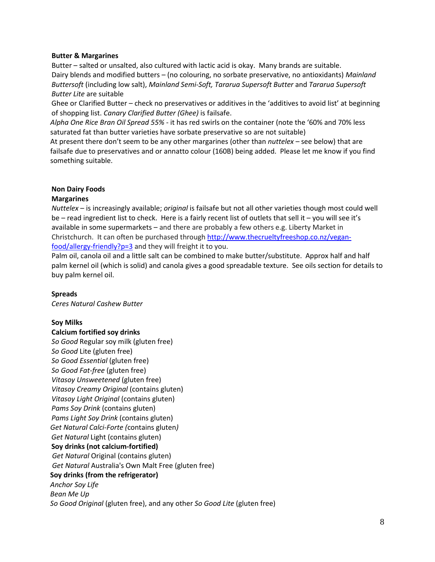#### **Butter & Margarines**

Butter – salted or unsalted, also cultured with lactic acid is okay. Many brands are suitable. Dairy blends and modified butters – (no colouring, no sorbate preservative, no antioxidants) *Mainland Buttersoft* (including low salt), *Mainland Semi-Soft, Tararua Supersoft Butter* and *Tararua Supersoft Butter Lite* are suitable

Ghee or Clarified Butter – check no preservatives or additives in the 'additives to avoid list' at beginning of shopping list. *Canary Clarified Butter (Ghee)* is failsafe.

*Alpha One Rice Bran Oil Spread 55%* - it has red swirls on the container (note the '60% and 70% less saturated fat than butter varieties have sorbate preservative so are not suitable)

At present there don't seem to be any other margarines (other than *nuttelex* – see below) that are failsafe due to preservatives and or annatto colour (160B) being added. Please let me know if you find something suitable.

## **Non Dairy Foods**

## **Margarines**

*Nuttelex* – is increasingly available; *original* is failsafe but not all other varieties though most could well be – read ingredient list to check. Here is a fairly recent list of outlets that sell it – you will see it's available in some supermarkets – and there are probably a few others e.g. Liberty Market in Christchurch. It can often be purchased throug[h http://www.thecrueltyfreeshop.co.nz/vegan](http://www.thecrueltyfreeshop.co.nz/vegan-food/allergy-friendly?p=3)[food/allergy-friendly?p=3](http://www.thecrueltyfreeshop.co.nz/vegan-food/allergy-friendly?p=3) and they will freight it to you.

Palm oil, canola oil and a little salt can be combined to make butter/substitute. Approx half and half palm kernel oil (which is solid) and canola gives a good spreadable texture. See oils section for details to buy palm kernel oil.

## **Spreads**

*Ceres Natural Cashew Butter*

## **Soy Milks**

#### **Calcium fortified soy drinks**

*So Good* Regular soy milk (gluten free) *So Good* Lite (gluten free) *So Good Essential* (gluten free) *So Good Fat-free* (gluten free) *Vitasoy Unsweetened* (gluten free) *Vitasoy Creamy Original* (contains gluten) *Vitasoy Light Original* (contains gluten) *Pams Soy Drink* (contains gluten) *Pams Light Soy Drink* (contains gluten) *Get Natural Calci-Forte (*contains gluten*) Get Natural* Light (contains gluten) **Soy drinks (not calcium-fortified)** *Get Natural* Original (contains gluten) *Get Natural* Australia's Own Malt Free (gluten free) **Soy drinks (from the refrigerator)** *Anchor Soy Life Bean Me Up So Good Original* (gluten free), and any other *So Good Lite* (gluten free)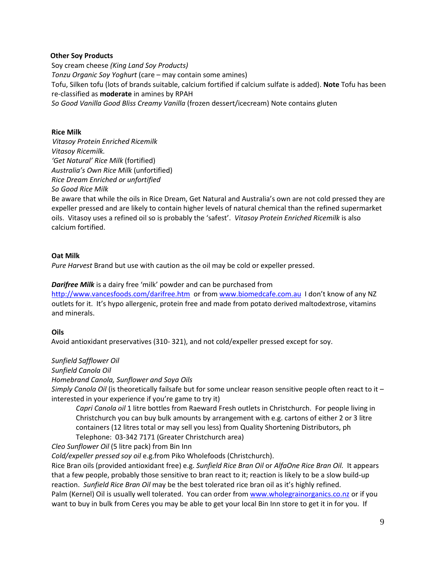## **Other Soy Products**

Soy cream cheese *(King Land Soy Products) Tonzu Organic Soy Yoghurt* (care – may contain some amines) Tofu, Silken tofu (lots of brands suitable, calcium fortified if calcium sulfate is added). **Note** Tofu has been re-classified as **moderate** in amines by RPAH *So Good Vanilla Good Bliss Creamy Vanilla* (frozen dessert/icecream) Note contains gluten

#### **Rice Milk**

*Vitasoy Protein Enriched Ricemilk Vitasoy Ricemilk. 'Get Natural' Rice Milk* (fortified) *Australia's Own Rice Milk* (unfortified) *Rice Dream Enriched or unfortified So Good Rice Milk*

Be aware that while the oils in Rice Dream, Get Natural and Australia's own are not cold pressed they are expeller pressed and are likely to contain higher levels of natural chemical than the refined supermarket oils. Vitasoy uses a refined oil so is probably the 'safest'. *Vitasoy Protein Enriched Ricemilk* is also calcium fortified.

#### **Oat Milk**

*Pure Harvest* Brand but use with caution as the oil may be cold or expeller pressed.

## *Darifree Milk* is a dairy free 'milk' powder and can be purchased from

<http://www.vancesfoods.com/darifree.htm> or from [www.biomedcafe.com.au](http://www.biomedcafe.com.au/) I don't know of any NZ outlets for it. It's hypo allergenic, protein free and made from potato derived maltodextrose, vitamins and minerals.

## **Oils**

Avoid antioxidant preservatives (310- 321), and not cold/expeller pressed except for soy.

## *Sunfield Safflower Oil*

*Sunfield Canola Oil*

#### *Homebrand Canola, Sunflower and Soya Oils*

*Simply Canola Oil* (is theoretically failsafe but for some unclear reason sensitive people often react to it – interested in your experience if you're game to try it)

*Capri Canola oil* 1 litre bottles from Raeward Fresh outlets in Christchurch. For people living in Christchurch you can buy bulk amounts by arrangement with e.g. cartons of either 2 or 3 litre containers (12 litres total or may sell you less) from Quality Shortening Distributors, ph Telephone: 03-342 7171 (Greater Christchurch area)

*Cleo Sunflower Oil* (5 litre pack) from Bin Inn

*Cold/expeller pressed soy oil* e.g.from Piko Wholefoods (Christchurch).

Rice Bran oils (provided antioxidant free) e.g. *Sunfield Rice Bran Oil* or *AlfaOne Rice Bran Oil.* It appears that a few people, probably those sensitive to bran react to it; reaction is likely to be a slow build-up reaction. *Sunfield Rice Bran Oil* may be the best tolerated rice bran oil as it's highly refined. Palm (Kernel) Oil is usually well tolerated. You can order from [www.wholegrainorganics.co.nz](http://www.wholegrainorganics.co.nz/) or if you want to buy in bulk from Ceres you may be able to get your local Bin Inn store to get it in for you. If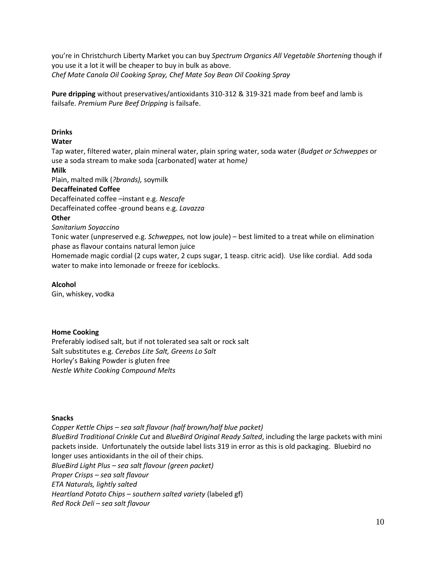you're in Christchurch Liberty Market you can buy *Spectrum Organics All Vegetable Shortening* though if you use it a lot it will be cheaper to buy in bulk as above. *Chef Mate Canola Oil Cooking Spray, Chef Mate Soy Bean Oil Cooking Spray*

**Pure dripping** without preservatives/antioxidants 310-312 & 319-321 made from beef and lamb is failsafe. *Premium Pure Beef Dripping* is failsafe.

## **Drinks**

## **Water**

Tap water, filtered water, plain mineral water, plain spring water, soda water (*Budget or Schweppes* or use a soda stream to make soda [carbonated] water at home*)*

## **Milk**

Plain, malted milk (*?brands),* soymilk

## **Decaffeinated Coffee**

Decaffeinated coffee –instant e.g. *Nescafe*

Decaffeinated coffee -ground beans e.g. *Lavazza*

## **Other**

*Sanitarium Soyaccino*

Tonic water (unpreserved e.g. *Schweppes,* not low joule) – best limited to a treat while on elimination phase as flavour contains natural lemon juice

Homemade magic cordial (2 cups water, 2 cups sugar, 1 teasp. citric acid). Use like cordial. Add soda water to make into lemonade or freeze for iceblocks.

## **Alcohol**

Gin, whiskey, vodka

## **Home Cooking**

Preferably iodised salt, but if not tolerated sea salt or rock salt Salt substitutes e.g. *Cerebos Lite Salt, Greens Lo Salt* Horley's Baking Powder is gluten free *Nestle White Cooking Compound Melts*

## **Snacks**

*Copper Kettle Chips – sea salt flavour (half brown/half blue packet) BlueBird Traditional Crinkle Cut* and *BlueBird Original Ready Salted*, including the large packets with mini packets inside. Unfortunately the outside label lists 319 in error as this is old packaging. Bluebird no longer uses antioxidants in the oil of their chips. *BlueBird Light Plus – sea salt flavour (green packet) Proper Crisps – sea salt flavour ETA Naturals, lightly salted Heartland Potato Chips – southern salted variety* (labeled gf) *Red Rock Deli – sea salt flavour*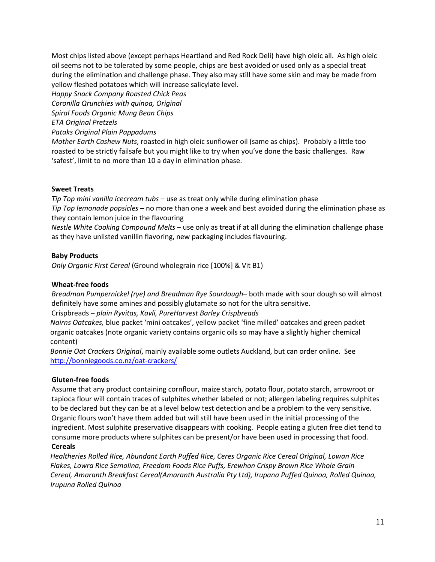Most chips listed above (except perhaps Heartland and Red Rock Deli) have high oleic all. As high oleic oil seems not to be tolerated by some people, chips are best avoided or used only as a special treat during the elimination and challenge phase. They also may still have some skin and may be made from yellow fleshed potatoes which will increase salicylate level.

*Happy Snack Company Roasted Chick Peas* 

*Coronilla Qrunchies with quinoa, Original*

*Spiral Foods Organic Mung Bean Chips*

*ETA Original Pretzels*

*Pataks Original Plain Pappadums*

*Mother Earth Cashew Nuts*, roasted in high oleic sunflower oil (same as chips). Probably a little too roasted to be strictly failsafe but you might like to try when you've done the basic challenges. Raw 'safest', limit to no more than 10 a day in elimination phase.

## **Sweet Treats**

*Tip Top mini vanilla icecream tubs* – use as treat only while during elimination phase *Tip Top lemonade popsicles* – no more than one a week and best avoided during the elimination phase as they contain lemon juice in the flavouring

*Nestle White Cooking Compound Melts* – use only as treat if at all during the elimination challenge phase as they have unlisted vanillin flavoring, new packaging includes flavouring.

## **Baby Products**

*Only Organic First Cereal* (Ground wholegrain rice [100%] & Vit B1)

## **Wheat-free foods**

*Breadman Pumpernickel (rye) and Breadman Rye Sourdough*– both made with sour dough so will almost definitely have some amines and possibly glutamate so not for the ultra sensitive. Crispbreads – *plain Ryvitas, Kavli, PureHarvest Barley Crispbreads*

*Nairns Oatcakes,* blue packet 'mini oatcakes', yellow packet 'fine milled' oatcakes and green packet organic oatcakes (note organic variety contains organic oils so may have a slightly higher chemical content)

*Bonnie Oat Crackers Original*, mainly available some outlets Auckland, but can order online. See <http://bonniegoods.co.nz/oat-crackers/>

## **Gluten-free foods**

Assume that any product containing cornflour, maize starch, potato flour, potato starch, arrowroot or tapioca flour will contain traces of sulphites whether labeled or not; allergen labeling requires sulphites to be declared but they can be at a level below test detection and be a problem to the very sensitive. Organic flours won't have them added but will still have been used in the initial processing of the ingredient. Most sulphite preservative disappears with cooking. People eating a gluten free diet tend to consume more products where sulphites can be present/or have been used in processing that food. **Cereals**

*Healtheries Rolled Rice, Abundant Earth Puffed Rice, Ceres Organic Rice Cereal Original, Lowan Rice Flakes, Lowra Rice Semolina, Freedom Foods Rice Puffs, Erewhon Crispy Brown Rice Whole Grain Cereal, Amaranth Breakfast Cereal(Amaranth Australia Pty Ltd), Irupana Puffed Quinoa, Rolled Quinoa, Irupuna Rolled Quinoa*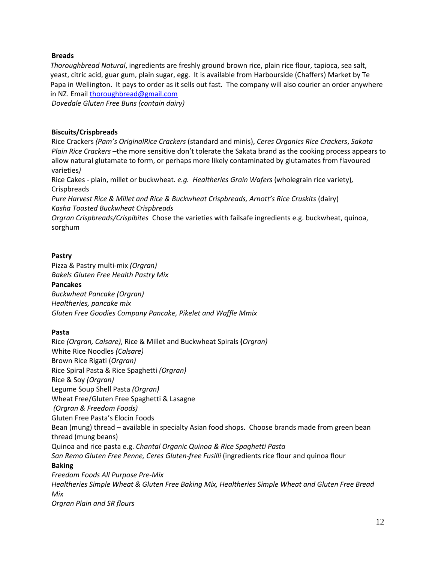## **Breads**

*Thoroughbread Natural*, ingredients are freshly ground brown rice, plain rice flour, tapioca, sea salt, yeast, citric acid, guar gum, plain sugar, egg. It is available from Harbourside (Chaffers) Market by Te Papa in Wellington. It pays to order as it sells out fast. The company will also courier an order anywhere in NZ. Email [thoroughbread@gmail.com](mailto:thoroughbread@gmail.com)

*Dovedale Gluten Free Buns (contain dairy)*

## **Biscuits/Crispbreads**

Rice Crackers *(Pam's OriginalRice Crackers* (standard and minis), *Ceres Organics Rice Crackers*, *Sakata Plain Rice Crackers –*the more sensitive don't tolerate the Sakata brand as the cooking process appears to allow natural glutamate to form, or perhaps more likely contaminated by glutamates from flavoured varieties*)*

Rice Cakes - plain, millet or buckwheat*. e.g. Healtheries Grain Wafers* (wholegrain rice variety)*,*  **Crispbreads** 

*Pure Harvest Rice & Millet and Rice & Buckwheat Crispbreads, Arnott's Rice Cruskits* (dairy) *Kasha Toasted Buckwheat Crispbreads*

*Orgran Crispbreads/Crispibites* Chose the varieties with failsafe ingredients e.g. buckwheat, quinoa, sorghum

## **Pastry**

Pizza & Pastry multi-mix *(Orgran) Bakels Gluten Free Health Pastry Mix* **Pancakes** *Buckwheat Pancake (Orgran) Healtheries, pancake mix Gluten Free Goodies Company Pancake, Pikelet and Waffle Mmix*

## **Pasta**

Rice *(Orgran, Calsare)*, Rice & Millet and Buckwheat Spirals **(***Orgran)* White Rice Noodles *(Calsare)* Brown Rice Rigati (*Orgran)* Rice Spiral Pasta & Rice Spaghetti *(Orgran)* Rice & Soy *(Orgran)* Legume Soup Shell Pasta *(Orgran)* Wheat Free/Gluten Free Spaghetti & Lasagne *(Orgran & Freedom Foods)* Gluten Free Pasta's Elocin Foods Bean (mung) thread – available in specialty Asian food shops. Choose brands made from green bean thread (mung beans) Quinoa and rice pasta e.g. *Chantal Organic Quinoa & Rice Spaghetti Pasta San Remo Gluten Free Penne, Ceres Gluten-free Fusilli* (ingredients rice flour and quinoa flour **Baking**  *Freedom Foods All Purpose Pre-Mix Healtheries Simple Wheat & Gluten Free Baking Mix, Healtheries Simple Wheat and Gluten Free Bread Mix Orgran Plain and SR flours*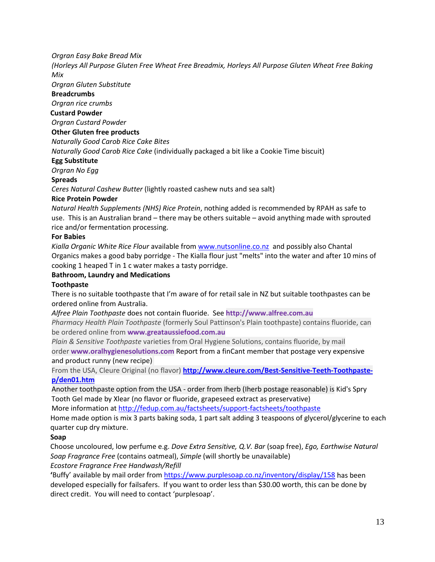## *Orgran Easy Bake Bread Mix*

*(Horleys All Purpose Gluten Free Wheat Free Breadmix, Horleys All Purpose Gluten Wheat Free Baking Mix*

*Orgran Gluten Substitute*

## **Breadcrumbs**

*Orgran rice crumbs*

## **Custard Powder**

*Orgran Custard Powder*

## **Other Gluten free products**

*Naturally Good Carob Rice Cake Bites*

*Naturally Good Carob Rice Cake* (individually packaged a bit like a Cookie Time biscuit)

## **Egg Substitute**

*Orgran No Egg*

## **Spreads**

*Ceres Natural Cashew Butter* (lightly roasted cashew nuts and sea salt)

## **Rice Protein Powder**

*Natural Health Supplements (NHS) Rice Protein*, nothing added is recommended by RPAH as safe to use. This is an Australian brand – there may be others suitable – avoid anything made with sprouted rice and/or fermentation processing.

## **For Babies**

*Kialla Organic White Rice Flour* available from [www.nutsonline.co.nz](http://www.nutsonline.co.nz/) and possibly also Chantal Organics makes a good baby porridge - The Kialla flour just "melts" into the water and after 10 mins of cooking 1 heaped T in 1 c water makes a tasty porridge.

## **Bathroom, Laundry and Medications**

## **Toothpaste**

There is no suitable toothpaste that I'm aware of for retail sale in NZ but suitable toothpastes can be ordered online from Australia.

*Alfree Plain Toothpaste* does not contain fluoride. See **http://www.alfree.com.au**

*Pharmacy Health Plain Toothpaste* (formerly Soul Pattinson's Plain toothpaste) contains fluoride, can be ordered online from **[www.greataussiefood.com.au](http://www.greataussiefood.com.au/)**

*Plain & Sensitive Toothpaste* varieties from Oral Hygiene Solutions, contains fluoride, by mail order **[www.oralhygienesolutions.com](http://www.oralhygienesolutions.com/)** Report from a finCant member that postage very expensive and product runny (new recipe)

From the USA, Cleure Original (no flavor) **[http://www.cleure.com/Best-Sensitive-Teeth-Toothpaste](http://www.cleure.com/Best-Sensitive-Teeth-Toothpaste-p/den01.htm)[p/den01.htm](http://www.cleure.com/Best-Sensitive-Teeth-Toothpaste-p/den01.htm)**

Another toothpaste option from the USA - order from Iherb (Iherb postage reasonable) is Kid's Spry Tooth Gel made by Xlear (no flavor or fluoride, grapeseed extract as preservative)

More information a[t http://fedup.com.au/factsheets/support-factsheets/toothpaste](http://fedup.com.au/factsheets/support-factsheets/toothpaste)

Home made option is mix 3 parts baking soda, 1 part salt adding 3 teaspoons of glycerol/glycerine to each quarter cup dry mixture.

## **Soap**

Choose uncoloured, low perfume e.g. *Dove Extra Sensitive, Q.V. Bar* (soap free), *Ego, Earthwise Natural Soap Fragrance Free* (contains oatmeal), *Simple* (will shortly be unavailable) *Ecostore Fragrance Free Handwash/Refill*

**'**Buffy' available by mail order from<https://www.purplesoap.co.nz/inventory/display/158> has been developed especially for failsafers. If you want to order less than \$30.00 worth, this can be done by direct credit. You will need to contact 'purplesoap'.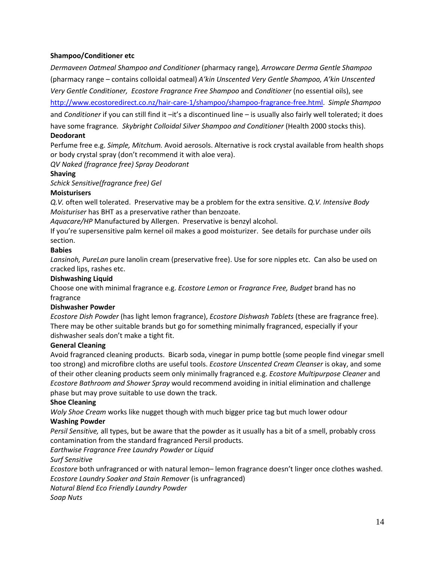## **Shampoo/Conditioner etc**

*Dermaveen Oatmeal Shampoo and Conditioner* (pharmacy range)*, Arrowcare Derma Gentle Shampoo*  (pharmacy range – contains colloidal oatmeal) *A'kin Unscented Very Gentle Shampoo, A'kin Unscented Very Gentle Conditioner, Ecostore Fragrance Free Shampoo* and *Conditioner* (no essential oils), see

[http://www.ecostoredirect.co.nz/hair-care-1/shampoo/shampoo-fragrance-free.html.](http://www.ecostoredirect.co.nz/hair-care-1/shampoo/shampoo-fragrance-free.html) *Simple Shampoo*  and *Conditioner* if you can still find it –it's a discontinued line – is usually also fairly well tolerated; it does have some fragrance*. Skybright Colloidal Silver Shampoo and Conditioner* (Health 2000 stocks this).

## **Deodorant**

Perfume free e.g. *Simple, Mitchum.* Avoid aerosols. Alternative is rock crystal available from health shops or body crystal spray (don't recommend it with aloe vera).

## *QV Naked (fragrance free) Spray Deodorant*

## **Shaving**

*Schick Sensitive(fragrance free) Gel*

## **Moisturisers**

*Q.V.* often well tolerated. Preservative may be a problem for the extra sensitive. *Q.V. Intensive Body Moisturiser* has BHT as a preservative rather than benzoate.

*Aquacare/HP* Manufactured by Allergen. Preservative is benzyl alcohol.

If you're supersensitive palm kernel oil makes a good moisturizer. See details for purchase under oils section.

## **Babies**

*Lansinoh, PureLan* pure lanolin cream (preservative free). Use for sore nipples etc. Can also be used on cracked lips, rashes etc.

#### **Dishwashing Liquid**

Choose one with minimal fragrance e.g. *Ecostore Lemon* or *Fragrance Free, Budget* brand has no fragrance

## **Dishwasher Powder**

*Ecostore Dish Powder* (has light lemon fragrance), *Ecostore Dishwash Tablets* (these are fragrance free). There may be other suitable brands but go for something minimally fragranced, especially if your dishwasher seals don't make a tight fit.

## **General Cleaning**

Avoid fragranced cleaning products. Bicarb soda, vinegar in pump bottle (some people find vinegar smell too strong) and microfibre cloths are useful tools. *Ecostore Unscented Cream Cleanser* is okay, and some of their other cleaning products seem only minimally fragranced e.g. *Ecostore Multipurpose Cleaner* and *Ecostore Bathroom and Shower Spray* would recommend avoiding in initial elimination and challenge phase but may prove suitable to use down the track.

## **Shoe Cleaning**

*Woly Shoe Cream* works like nugget though with much bigger price tag but much lower odour **Washing Powder**

*Persil Sensitive,* all types, but be aware that the powder as it usually has a bit of a smell, probably cross contamination from the standard fragranced Persil products.

*Earthwise Fragrance Free Laundry Powder* or *Liquid*

## *Surf Sensitive*

*Ecostore* both unfragranced or with natural lemon– lemon fragrance doesn't linger once clothes washed. *Ecostore Laundry Soaker and Stain Remover* (is unfragranced)

*Natural Blend Eco Friendly Laundry Powder*

*Soap Nuts*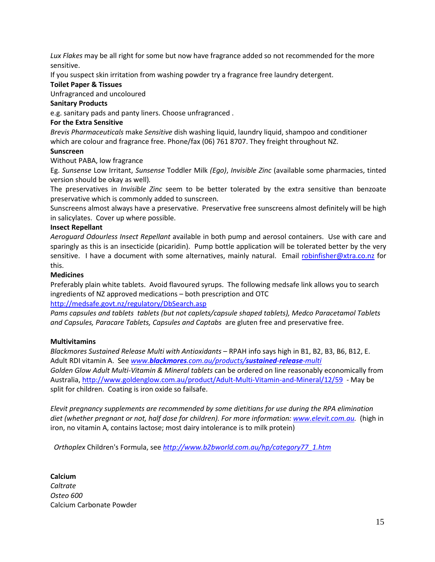*Lux Flakes* may be all right for some but now have fragrance added so not recommended for the more sensitive.

If you suspect skin irritation from washing powder try a fragrance free laundry detergent.

## **Toilet Paper & Tissues**

Unfragranced and uncoloured

## **Sanitary Products**

e.g. sanitary pads and panty liners. Choose unfragranced .

## **For the Extra Sensitive**

*Brevis Pharmaceuticals* make *Sensitive* dish washing liquid, laundry liquid, shampoo and conditioner which are colour and fragrance free. Phone/fax (06) 761 8707. They freight throughout NZ.

## **Sunscreen**

Without PABA, low fragrance

Eg. *Sunsense* Low Irritant, *Sunsense* Toddler Milk *(Ego)*, *Invisible Zinc* (available some pharmacies, tinted version should be okay as well)*.*

The preservatives in *Invisible Zinc* seem to be better tolerated by the extra sensitive than benzoate preservative which is commonly added to sunscreen.

Sunscreens almost always have a preservative. Preservative free sunscreens almost definitely will be high in salicylates. Cover up where possible.

## **Insect Repellant**

*Aeroguard Odourless Insect Repellant* available in both pump and aerosol containers. Use with care and sparingly as this is an insecticide (picaridin). Pump bottle application will be tolerated better by the very sensitive. I have a document with some alternatives, mainly natural. Email [robinfisher@xtra.co.nz](mailto:robinfisher@xtra.co.nz) for this.

## **Medicines**

Preferably plain white tablets. Avoid flavoured syrups. The following medsafe link allows you to search ingredients of NZ approved medications – both prescription and OTC

## <http://medsafe.govt.nz/regulatory/DbSearch.asp>

*Pams capsules and tablets tablets (but not caplets/capsule shaped tablets), Medco Paracetamol Tablets and Capsules, Paracare Tablets, Capsules and Captabs* are gluten free and preservative free.

## **Multivitamins**

*Blackmores Sustained Release Multi with Antioxidants* – RPAH info says high in B1, B2, B3, B6, B12, E. Adult RDI vitamin A. See *www.blackmores[.com.au/products/](http://www.blackmores.com.au/products/sustained-release-multi)sustained-release-multi Golden Glow Adult Multi-Vitamin & Mineral tablets* can be ordered on line reasonably economically from Australia[, http://www.goldenglow.com.au/product/Adult-Multi-Vitamin-and-Mineral/12/59](http://www.goldenglow.com.au/product/Adult-Multi-Vitamin-and-Mineral/12/59) - May be split for children. Coating is iron oxide so failsafe.

*Elevit pregnancy supplements are recommended by some dietitians for use during the RPA elimination diet (whether pregnant or not, half dose for children). For more information[: www.elevit.com.au.](http://www.elevit.com.au/)* (high in iron, no vitamin A, contains lactose; most dairy intolerance is to milk protein)

*Orthoplex* Children's Formula, see *[http://www.b2bworld.com.au/hp/category77\\_1.htm](http://www.b2bworld.com.au/hp/category77_1.htm)*

**Calcium** *Caltrate Osteo 600* Calcium Carbonate Powder